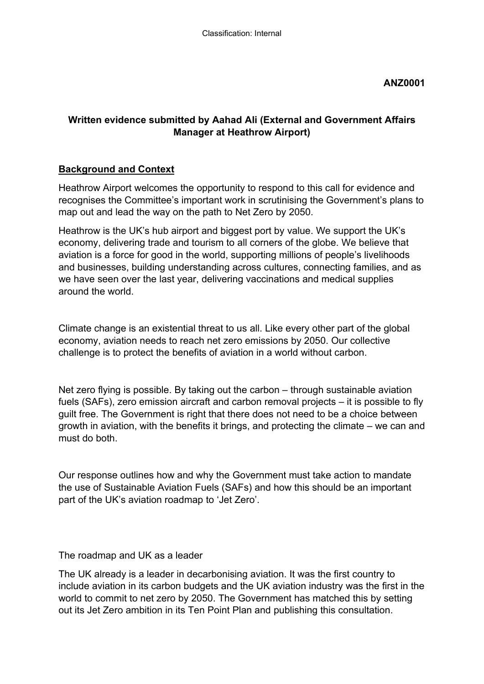### **ANZ0001**

### **Written evidence submitted by Aahad Ali (External and Government Affairs Manager at Heathrow Airport)**

### **Background and Context**

Heathrow Airport welcomes the opportunity to respond to this call for evidence and recognises the Committee's important work in scrutinising the Government's plans to map out and lead the way on the path to Net Zero by 2050.

Heathrow is the UK's hub airport and biggest port by value. We support the UK's economy, delivering trade and tourism to all corners of the globe. We believe that aviation is a force for good in the world, supporting millions of people's livelihoods and businesses, building understanding across cultures, connecting families, and as we have seen over the last year, delivering vaccinations and medical supplies around the world.

Climate change is an existential threat to us all. Like every other part of the global economy, aviation needs to reach net zero emissions by 2050. Our collective challenge is to protect the benefits of aviation in a world without carbon.

Net zero flying is possible. By taking out the carbon – through sustainable aviation fuels (SAFs), zero emission aircraft and carbon removal projects – it is possible to fly guilt free. The Government is right that there does not need to be a choice between growth in aviation, with the benefits it brings, and protecting the climate – we can and must do both.

Our response outlines how and why the Government must take action to mandate the use of Sustainable Aviation Fuels (SAFs) and how this should be an important part of the UK's aviation roadmap to 'Jet Zero'.

The roadmap and UK as a leader

The UK already is a leader in decarbonising aviation. It was the first country to include aviation in its carbon budgets and the UK aviation industry was the first in the world to commit to net zero by 2050. The Government has matched this by setting out its Jet Zero ambition in its Ten Point Plan and publishing this consultation.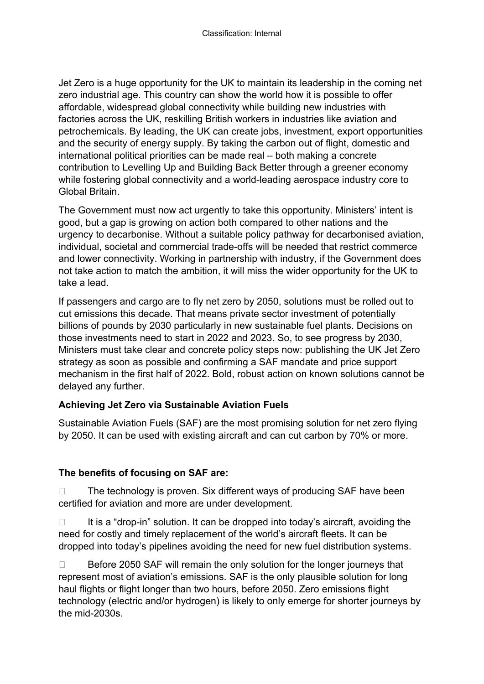Jet Zero is a huge opportunity for the UK to maintain its leadership in the coming net zero industrial age. This country can show the world how it is possible to offer affordable, widespread global connectivity while building new industries with factories across the UK, reskilling British workers in industries like aviation and petrochemicals. By leading, the UK can create jobs, investment, export opportunities and the security of energy supply. By taking the carbon out of flight, domestic and international political priorities can be made real – both making a concrete contribution to Levelling Up and Building Back Better through a greener economy while fostering global connectivity and a world-leading aerospace industry core to Global Britain.

The Government must now act urgently to take this opportunity. Ministers' intent is good, but a gap is growing on action both compared to other nations and the urgency to decarbonise. Without a suitable policy pathway for decarbonised aviation, individual, societal and commercial trade-offs will be needed that restrict commerce and lower connectivity. Working in partnership with industry, if the Government does not take action to match the ambition, it will miss the wider opportunity for the UK to take a lead.

If passengers and cargo are to fly net zero by 2050, solutions must be rolled out to cut emissions this decade. That means private sector investment of potentially billions of pounds by 2030 particularly in new sustainable fuel plants. Decisions on those investments need to start in 2022 and 2023. So, to see progress by 2030, Ministers must take clear and concrete policy steps now: publishing the UK Jet Zero strategy as soon as possible and confirming a SAF mandate and price support mechanism in the first half of 2022. Bold, robust action on known solutions cannot be delayed any further.

# **Achieving Jet Zero via Sustainable Aviation Fuels**

Sustainable Aviation Fuels (SAF) are the most promising solution for net zero flying by 2050. It can be used with existing aircraft and can cut carbon by 70% or more.

# **The benefits of focusing on SAF are:**

 $\Box$  The technology is proven. Six different ways of producing SAF have been certified for aviation and more are under development.

 $\Box$  It is a "drop-in" solution. It can be dropped into today's aircraft, avoiding the need for costly and timely replacement of the world's aircraft fleets. It can be dropped into today's pipelines avoiding the need for new fuel distribution systems.

 $\Box$  Before 2050 SAF will remain the only solution for the longer journeys that represent most of aviation's emissions. SAF is the only plausible solution for long haul flights or flight longer than two hours, before 2050. Zero emissions flight technology (electric and/or hydrogen) is likely to only emerge for shorter journeys by the mid-2030s.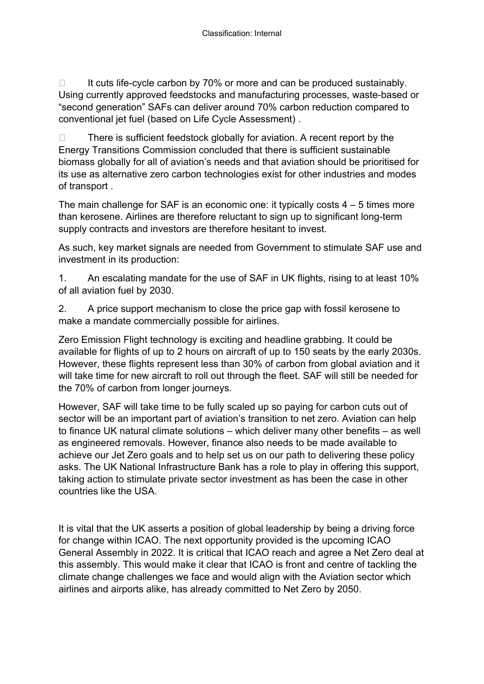$\Box$  It cuts life-cycle carbon by 70% or more and can be produced sustainably. Using currently approved feedstocks and manufacturing processes, waste-based or "second generation" SAFs can deliver around 70% carbon reduction compared to conventional jet fuel (based on Life Cycle Assessment) .

 $\Box$  There is sufficient feedstock globally for aviation. A recent report by the Energy Transitions Commission concluded that there is sufficient sustainable biomass globally for all of aviation's needs and that aviation should be prioritised for its use as alternative zero carbon technologies exist for other industries and modes of transport .

The main challenge for SAF is an economic one: it typically costs  $4 - 5$  times more than kerosene. Airlines are therefore reluctant to sign up to significant long-term supply contracts and investors are therefore hesitant to invest.

As such, key market signals are needed from Government to stimulate SAF use and investment in its production:

1. An escalating mandate for the use of SAF in UK flights, rising to at least 10% of all aviation fuel by 2030.

2. A price support mechanism to close the price gap with fossil kerosene to make a mandate commercially possible for airlines.

Zero Emission Flight technology is exciting and headline grabbing. It could be available for flights of up to 2 hours on aircraft of up to 150 seats by the early 2030s. However, these flights represent less than 30% of carbon from global aviation and it will take time for new aircraft to roll out through the fleet. SAF will still be needed for the 70% of carbon from longer journeys.

However, SAF will take time to be fully scaled up so paying for carbon cuts out of sector will be an important part of aviation's transition to net zero. Aviation can help to finance UK natural climate solutions – which deliver many other benefits – as well as engineered removals. However, finance also needs to be made available to achieve our Jet Zero goals and to help set us on our path to delivering these policy asks. The UK National Infrastructure Bank has a role to play in offering this support, taking action to stimulate private sector investment as has been the case in other countries like the USA.

It is vital that the UK asserts a position of global leadership by being a driving force for change within ICAO. The next opportunity provided is the upcoming ICAO General Assembly in 2022. It is critical that ICAO reach and agree a Net Zero deal at this assembly. This would make it clear that ICAO is front and centre of tackling the climate change challenges we face and would align with the Aviation sector which airlines and airports alike, has already committed to Net Zero by 2050.